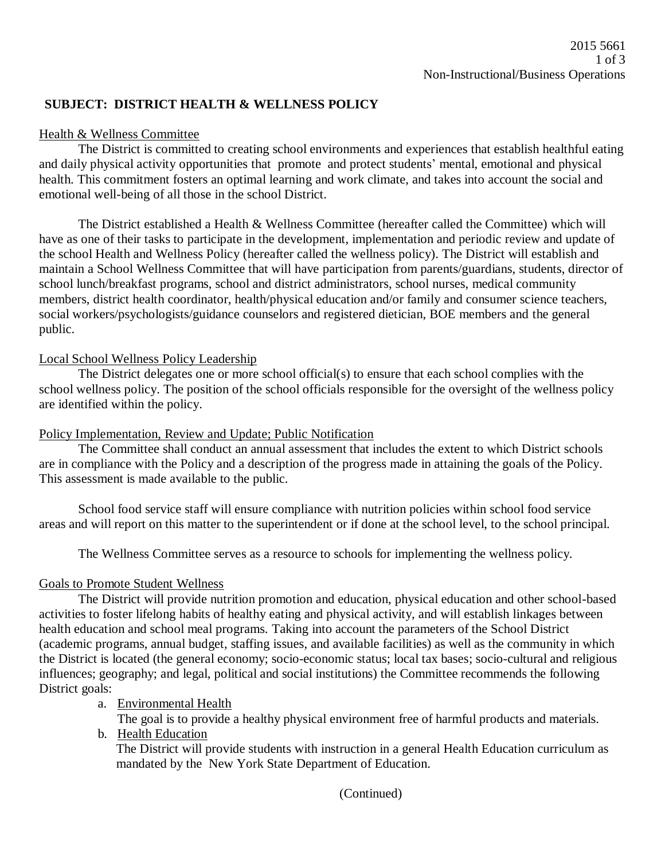# **SUBJECT: DISTRICT HEALTH & WELLNESS POLICY**

### Health & Wellness Committee

The District is committed to creating school environments and experiences that establish healthful eating and daily physical activity opportunities that promote and protect students' mental, emotional and physical health. This commitment fosters an optimal learning and work climate, and takes into account the social and emotional well-being of all those in the school District.

The District established a Health & Wellness Committee (hereafter called the Committee) which will have as one of their tasks to participate in the development, implementation and periodic review and update of the school Health and Wellness Policy (hereafter called the wellness policy). The District will establish and maintain a School Wellness Committee that will have participation from parents/guardians, students, director of school lunch/breakfast programs, school and district administrators, school nurses, medical community members, district health coordinator, health/physical education and/or family and consumer science teachers, social workers/psychologists/guidance counselors and registered dietician, BOE members and the general public.

### Local School Wellness Policy Leadership

The District delegates one or more school official(s) to ensure that each school complies with the school wellness policy. The position of the school officials responsible for the oversight of the wellness policy are identified within the policy.

#### Policy Implementation, Review and Update; Public Notification

The Committee shall conduct an annual assessment that includes the extent to which District schools are in compliance with the Policy and a description of the progress made in attaining the goals of the Policy. This assessment is made available to the public.

School food service staff will ensure compliance with nutrition policies within school food service areas and will report on this matter to the superintendent or if done at the school level, to the school principal.

The Wellness Committee serves as a resource to schools for implementing the wellness policy.

### Goals to Promote Student Wellness

The District will provide nutrition promotion and education, physical education and other school-based activities to foster lifelong habits of healthy eating and physical activity, and will establish linkages between health education and school meal programs. Taking into account the parameters of the School District (academic programs, annual budget, staffing issues, and available facilities) as well as the community in which the District is located (the general economy; socio-economic status; local tax bases; socio-cultural and religious influences; geography; and legal, political and social institutions) the Committee recommends the following District goals:

#### a. Environmental Health

The goal is to provide a healthy physical environment free of harmful products and materials.

b. Health Education

The District will provide students with instruction in a general Health Education curriculum as mandated by the New York State Department of Education.

(Continued)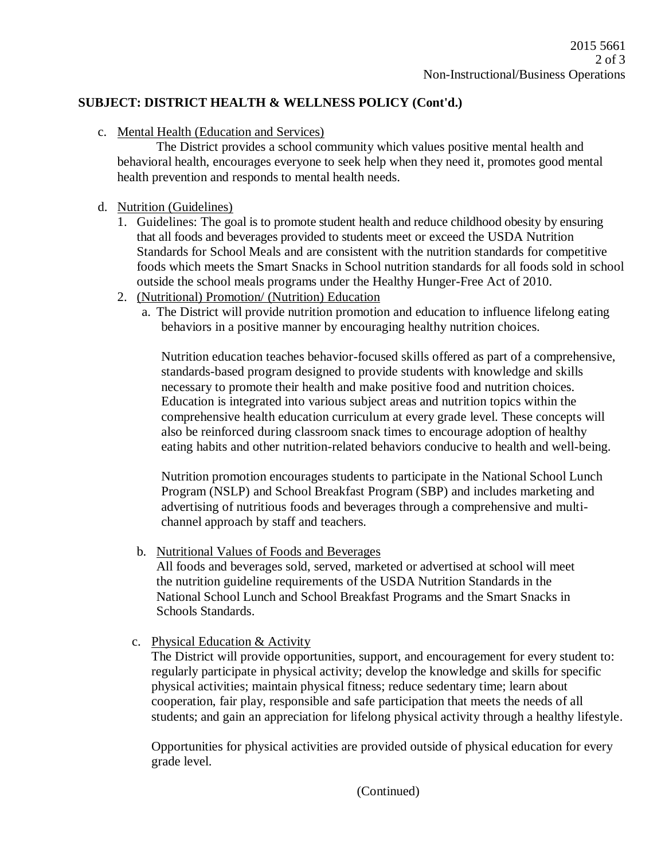# **SUBJECT: DISTRICT HEALTH & WELLNESS POLICY (Cont'd.)**

# c. Mental Health (Education and Services)

The District provides a school community which values positive mental health and behavioral health, encourages everyone to seek help when they need it, promotes good mental health prevention and responds to mental health needs.

# d. Nutrition (Guidelines)

- 1. Guidelines: The goal is to promote student health and reduce childhood obesity by ensuring that all foods and beverages provided to students meet or exceed the USDA Nutrition Standards for School Meals and are consistent with the nutrition standards for competitive foods which meets the Smart Snacks in School nutrition standards for all foods sold in school outside the school meals programs under the Healthy Hunger-Free Act of 2010.
- 2. (Nutritional) Promotion/ (Nutrition) Education
	- a. The District will provide nutrition promotion and education to influence lifelong eating behaviors in a positive manner by encouraging healthy nutrition choices.

Nutrition education teaches behavior-focused skills offered as part of a comprehensive, standards-based program designed to provide students with knowledge and skills necessary to promote their health and make positive food and nutrition choices. Education is integrated into various subject areas and nutrition topics within the comprehensive health education curriculum at every grade level. These concepts will also be reinforced during classroom snack times to encourage adoption of healthy eating habits and other nutrition-related behaviors conducive to health and well-being.

Nutrition promotion encourages students to participate in the National School Lunch Program (NSLP) and School Breakfast Program (SBP) and includes marketing and advertising of nutritious foods and beverages through a comprehensive and multichannel approach by staff and teachers.

b. Nutritional Values of Foods and Beverages

All foods and beverages sold, served, marketed or advertised at school will meet the nutrition guideline requirements of the USDA Nutrition Standards in the National School Lunch and School Breakfast Programs and the Smart Snacks in Schools Standards.

c. Physical Education & Activity

The District will provide opportunities, support, and encouragement for every student to: regularly participate in physical activity; develop the knowledge and skills for specific physical activities; maintain physical fitness; reduce sedentary time; learn about cooperation, fair play, responsible and safe participation that meets the needs of all students; and gain an appreciation for lifelong physical activity through a healthy lifestyle.

Opportunities for physical activities are provided outside of physical education for every grade level.

(Continued)